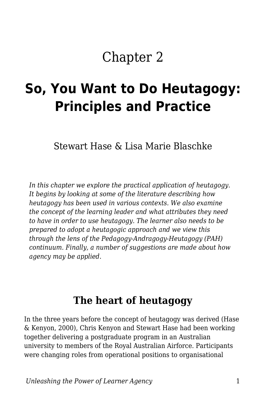# Chapter 2

# **So, You Want to Do Heutagogy: Principles and Practice**

Stewart Hase & Lisa Marie Blaschke

*In this chapter we explore the practical application of heutagogy. It begins by looking at some of the literature describing how heutagogy has been used in various contexts. We also examine the concept of the learning leader and what attributes they need to have in order to use heutagogy. The learner also needs to be prepared to adopt a heutagogic approach and we view this through the lens of the Pedagogy-Andragogy-Heutagogy (PAH) continuum. Finally, a number of suggestions are made about how agency may be applied.*

### **The heart of heutagogy**

In the three years before the concept of heutagogy was derived (Hase & Kenyon, 2000), Chris Kenyon and Stewart Hase had been working together delivering a postgraduate program in an Australian university to members of the Royal Australian Airforce. Participants were changing roles from operational positions to organisational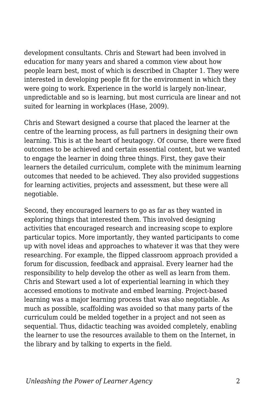development consultants. Chris and Stewart had been involved in education for many years and shared a common view about how people learn best, most of which is described in Chapter 1. They were interested in developing people fit for the environment in which they were going to work. Experience in the world is largely non-linear, unpredictable and so is learning, but most curricula are linear and not suited for learning in workplaces (Hase, 2009).

Chris and Stewart designed a course that placed the learner at the centre of the learning process, as full partners in designing their own learning. This is at the heart of heutagogy. Of course, there were fixed outcomes to be achieved and certain essential content, but we wanted to engage the learner in doing three things. First, they gave their learners the detailed curriculum, complete with the minimum learning outcomes that needed to be achieved. They also provided suggestions for learning activities, projects and assessment, but these were all negotiable.

Second, they encouraged learners to go as far as they wanted in exploring things that interested them. This involved designing activities that encouraged research and increasing scope to explore particular topics. More importantly, they wanted participants to come up with novel ideas and approaches to whatever it was that they were researching. For example, the flipped classroom approach provided a forum for discussion, feedback and appraisal. Every learner had the responsibility to help develop the other as well as learn from them. Chris and Stewart used a lot of experiential learning in which they accessed emotions to motivate and embed learning. Project-based learning was a major learning process that was also negotiable. As much as possible, scaffolding was avoided so that many parts of the curriculum could be melded together in a project and not seen as sequential. Thus, didactic teaching was avoided completely, enabling the learner to use the resources available to them on the Internet, in the library and by talking to experts in the field.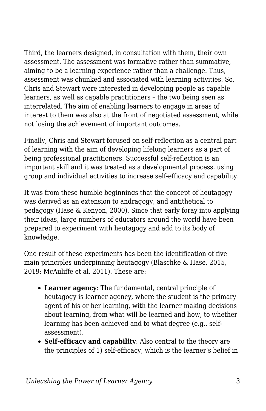Third, the learners designed, in consultation with them, their own assessment. The assessment was formative rather than summative, aiming to be a learning experience rather than a challenge. Thus, assessment was chunked and associated with learning activities. So, Chris and Stewart were interested in developing people as capable learners, as well as capable practitioners – the two being seen as interrelated. The aim of enabling learners to engage in areas of interest to them was also at the front of negotiated assessment, while not losing the achievement of important outcomes.

Finally, Chris and Stewart focused on self-reflection as a central part of learning with the aim of developing lifelong learners as a part of being professional practitioners. Successful self-reflection is an important skill and it was treated as a developmental process, using group and individual activities to increase self-efficacy and capability.

It was from these humble beginnings that the concept of heutagogy was derived as an extension to andragogy, and antithetical to pedagogy (Hase & Kenyon, 2000). Since that early foray into applying their ideas, large numbers of educators around the world have been prepared to experiment with heutagogy and add to its body of knowledge.

One result of these experiments has been the identification of five main principles underpinning heutagogy (Blaschke & Hase, 2015, 2019; McAuliffe et al, 2011). These are:

- **Learner agency**: The fundamental, central principle of heutagogy is learner agency, where the student is the primary agent of his or her learning, with the learner making decisions about learning, from what will be learned and how, to whether learning has been achieved and to what degree (e.g., selfassessment).
- **Self-efficacy and capability**: Also central to the theory are the principles of 1) self-efficacy, which is the learner's belief in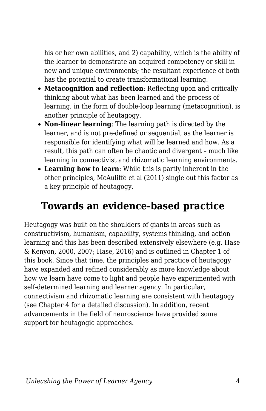his or her own abilities, and 2) capability, which is the ability of the learner to demonstrate an acquired competency or skill in new and unique environments; the resultant experience of both has the potential to create transformational learning.

- **Metacognition and reflection**: Reflecting upon and critically thinking about what has been learned and the process of learning, in the form of double-loop learning (metacognition), is another principle of heutagogy.
- **Non-linear learning**: The learning path is directed by the learner, and is not pre-defined or sequential, as the learner is responsible for identifying what will be learned and how. As a result, this path can often be chaotic and divergent – much like learning in connectivist and rhizomatic learning environments.
- **Learning how to learn**: While this is partly inherent in the other principles, McAuliffe et al (2011) single out this factor as a key principle of heutagogy.

### **Towards an evidence-based practice**

Heutagogy was built on the shoulders of giants in areas such as constructivism, humanism, capability, systems thinking, and action learning and this has been described extensively elsewhere (e.g. Hase & Kenyon, 2000, 2007; Hase, 2016) and is outlined in Chapter 1 of this book. Since that time, the principles and practice of heutagogy have expanded and refined considerably as more knowledge about how we learn have come to light and people have experimented with self-determined learning and learner agency. In particular, connectivism and rhizomatic learning are consistent with heutagogy (see Chapter 4 for a detailed discussion). In addition, recent advancements in the field of neuroscience have provided some support for heutagogic approaches.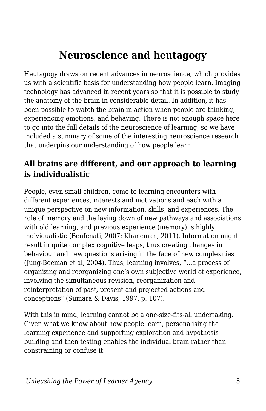### **Neuroscience and heutagogy**

Heutagogy draws on recent advances in neuroscience, which provides us with a scientific basis for understanding how people learn. Imaging technology has advanced in recent years so that it is possible to study the anatomy of the brain in considerable detail. In addition, it has been possible to watch the brain in action when people are thinking, experiencing emotions, and behaving. There is not enough space here to go into the full details of the neuroscience of learning, so we have included a summary of some of the interesting neuroscience research that underpins our understanding of how people learn

#### **All brains are different, and our approach to learning is individualistic**

People, even small children, come to learning encounters with different experiences, interests and motivations and each with a unique perspective on new information, skills, and experiences. The role of memory and the laying down of new pathways and associations with old learning, and previous experience (memory) is highly individualistic (Benfenati, 2007; Khaneman, 2011). Information might result in quite complex cognitive leaps, thus creating changes in behaviour and new questions arising in the face of new complexities (Jung-Beeman et al, 2004). Thus, learning involves, "…a process of organizing and reorganizing one's own subjective world of experience, involving the simultaneous revision, reorganization and reinterpretation of past, present and projected actions and conceptions" (Sumara & Davis, 1997, p. 107).

With this in mind, learning cannot be a one-size-fits-all undertaking. Given what we know about how people learn, personalising the learning experience and supporting exploration and hypothesis building and then testing enables the individual brain rather than constraining or confuse it.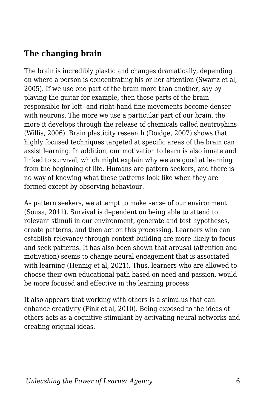#### **The changing brain**

The brain is incredibly plastic and changes dramatically, depending on where a person is concentrating his or her attention (Swartz et al, 2005). If we use one part of the brain more than another, say by playing the guitar for example, then those parts of the brain responsible for left- and right-hand fine movements become denser with neurons. The more we use a particular part of our brain, the more it develops through the release of chemicals called neutrophins (Willis, 2006). Brain plasticity research (Doidge, 2007) shows that highly focused techniques targeted at specific areas of the brain can assist learning. In addition, our motivation to learn is also innate and linked to survival, which might explain why we are good at learning from the beginning of life. Humans are pattern seekers, and there is no way of knowing what these patterns look like when they are formed except by observing behaviour.

As pattern seekers, we attempt to make sense of our environment (Sousa, 2011). Survival is dependent on being able to attend to relevant stimuli in our environment, generate and test hypotheses, create patterns, and then act on this processing. Learners who can establish relevancy through context building are more likely to focus and seek patterns. It has also been shown that arousal (attention and motivation) seems to change neural engagement that is associated with learning (Hennig et al, 2021). Thus, learners who are allowed to choose their own educational path based on need and passion, would be more focused and effective in the learning process

It also appears that working with others is a stimulus that can enhance creativity (Fink et al, 2010). Being exposed to the ideas of others acts as a cognitive stimulant by activating neural networks and creating original ideas.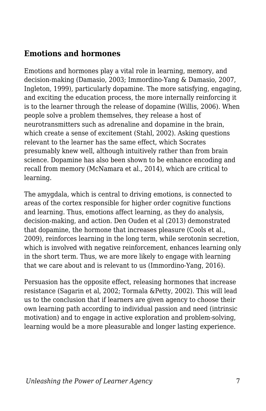#### **Emotions and hormones**

Emotions and hormones play a vital role in learning, memory, and decision-making (Damasio, 2003; Immordino-Yang & Damasio, 2007, Ingleton, 1999), particularly dopamine. The more satisfying, engaging, and exciting the education process, the more internally reinforcing it is to the learner through the release of dopamine (Willis, 2006). When people solve a problem themselves, they release a host of neurotransmitters such as adrenaline and dopamine in the brain, which create a sense of excitement (Stahl, 2002). Asking questions relevant to the learner has the same effect, which Socrates presumably knew well, although intuitively rather than from brain science. Dopamine has also been shown to be enhance encoding and recall from memory (McNamara et al., 2014), which are critical to learning.

The amygdala, which is central to driving emotions, is connected to areas of the cortex responsible for higher order cognitive functions and learning. Thus, emotions affect learning, as they do analysis, decision-making, and action. Den Ouden et al (2013) demonstrated that dopamine, the hormone that increases pleasure (Cools et al., 2009), reinforces learning in the long term, while serotonin secretion, which is involved with negative reinforcement, enhances learning only in the short term. Thus, we are more likely to engage with learning that we care about and is relevant to us (Immordino-Yang, 2016).

Persuasion has the opposite effect, releasing hormones that increase resistance (Sagarin et al, 2002; Tormala &Petty, 2002). This will lead us to the conclusion that if learners are given agency to choose their own learning path according to individual passion and need (intrinsic motivation) and to engage in active exploration and problem-solving, learning would be a more pleasurable and longer lasting experience.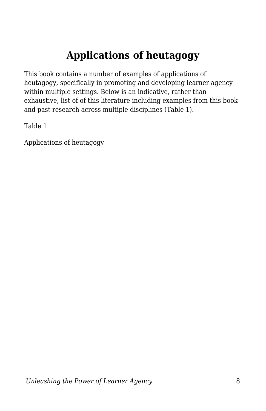## **Applications of heutagogy**

This book contains a number of examples of applications of heutagogy, specifically in promoting and developing learner agency within multiple settings. Below is an indicative, rather than exhaustive, list of of this literature including examples from this book and past research across multiple disciplines (Table 1).

Table 1

Applications of heutagogy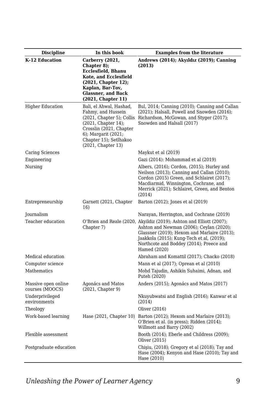| <b>Discipline</b>                      | In this book                                                                                                                                                                                           | <b>Examples from the literature</b>                                                                                                                                                                                                                                     |
|----------------------------------------|--------------------------------------------------------------------------------------------------------------------------------------------------------------------------------------------------------|-------------------------------------------------------------------------------------------------------------------------------------------------------------------------------------------------------------------------------------------------------------------------|
| K-12 Education                         | Carberry (2021,<br>Chapter 8);<br><b>Ecclesfield, Bhanu</b><br>Kote, and Ecclesfield<br>(2021, Chapter 12);<br>Kaplan, Bar-Tov,<br><b>Glassner, and Back</b><br>(2021, Chapter 11)                     | Andrews (2014); Akyıldız (2019); Canning<br>(2013)                                                                                                                                                                                                                      |
| <b>Higher Education</b>                | Bali, el Ahwal, Hashad,<br>Fahmy, and Hussein<br>$(2021, Chapter 5)$ ; Collis<br>(2021, Chapter 14);<br>Crosslin (2021, Chapter<br>6); Margarit (2021;<br>Chapter 15); Setlhakoo<br>(2021, Chapter 13) | Bul, 2014; Canning (2010); Canning and Callan<br>$(2021)$ ; Halsall, Powell and Snowden $(2016)$ ;<br>Richardson, McGowan, and Styger (2017);<br>Snowden and Halsall (2017)                                                                                             |
| Caring Sciences                        |                                                                                                                                                                                                        | Maykut et al (2019)                                                                                                                                                                                                                                                     |
| Engineering                            |                                                                                                                                                                                                        | Gazi (2014): Mohammad et al (2019)                                                                                                                                                                                                                                      |
| Nursing                                |                                                                                                                                                                                                        | Albers, (2016); Cordon, (2015); Hurley and<br>Neilson (2013); Canning and Callan (2010);<br>Cordon (2015) Green, and Schlairet (2017);<br>Macdiarmid, Winnington, Cochrane, and<br>Merrick (2021); Schlairet, Green, and Benton<br>(2014)                               |
| Entrepreneurship                       | Garnett (2021, Chapter<br>16)                                                                                                                                                                          | Barton (2012); Jones et al (2019)                                                                                                                                                                                                                                       |
| Journalism                             |                                                                                                                                                                                                        | Narayan, Herrington, and Cochrane (2019)                                                                                                                                                                                                                                |
| Teacher education                      | Chapter 7)                                                                                                                                                                                             | O'Brien and Reale (2020, Akyildiz (2019); Ashton and Elliott (2007);<br>Ashton and Newman (2006); Ceylan (2020);<br>Glassner (2019); Hexom and Marlaire (2013);<br>Jaakkola (2015); Kung-Tech et al, (2019);<br>Northcote and Boddey (2014); Preece and<br>Hamed (2020) |
| Medical education                      |                                                                                                                                                                                                        | Abraham and Komattil (2017); Chacko (2018)                                                                                                                                                                                                                              |
| Computer science                       |                                                                                                                                                                                                        | Mann et al (2017); Oprean et al (2010)                                                                                                                                                                                                                                  |
| Mathematics                            |                                                                                                                                                                                                        | Mohd Tajudin, Ashikin Suhaimi, Adnan, and<br>Puteh (2020)                                                                                                                                                                                                               |
| Massive open online<br>courses (MOOCS) | Agonács and Matos<br>(2021, Chapter 9)                                                                                                                                                                 | Anders (2015); Agonács and Matos (2017)                                                                                                                                                                                                                                 |
| Underprivileged<br>environments        |                                                                                                                                                                                                        | Nkuyubwatsi and English (2016); Kanwar et al<br>(2014)                                                                                                                                                                                                                  |
| Theology                               |                                                                                                                                                                                                        | Oliver (2016)                                                                                                                                                                                                                                                           |
| Work-based learning                    |                                                                                                                                                                                                        | Hase (2021, Chapter 10) Barton (2012); Hexom and Marlaire (2013);<br>O'Brien et al. (in press); Ridden (2014);<br>Willmott and Barry (2002)                                                                                                                             |
| Flexible assessment                    |                                                                                                                                                                                                        | Booth (2014); Eberle and Childress (2009);<br>Oliver (2015)                                                                                                                                                                                                             |
| Postgraduate education                 |                                                                                                                                                                                                        | Chisiu, (2018); Gregory et al (2018); Tay and<br>Hase (2004); Kenyon and Hase (2010); Tay and<br>Hase (2010)                                                                                                                                                            |

*Unleashing the Power of Learner Agency* 9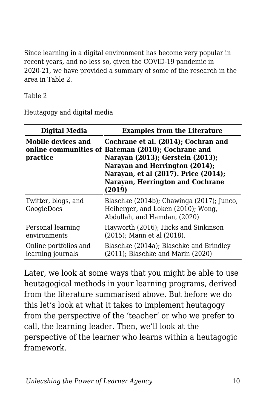Since learning in a digital environment has become very popular in recent years, and no less so, given the COVID-19 pandemic in 2020-21, we have provided a summary of some of the research in the area in Table 2.

Table 2

Heutagogy and digital media

| <b>Digital Media</b>                       | <b>Examples from the Literature</b>                                                                                                                                                                                                                   |  |
|--------------------------------------------|-------------------------------------------------------------------------------------------------------------------------------------------------------------------------------------------------------------------------------------------------------|--|
| Mobile devices and<br>practice             | Cochrane et al. (2014); Cochran and<br>online communities of Bateman (2010); Cochrane and<br>Narayan (2013); Gerstein (2013);<br>Narayan and Herrington (2014);<br>Narayan, et al (2017). Price (2014);<br>Narayan, Herrington and Cochrane<br>(2019) |  |
| Twitter, blogs, and<br>GoogleDocs          | Blaschke (2014b); Chawinga (2017); Junco,<br>Heiberger, and Loken (2010); Wong,<br>Abdullah, and Hamdan, (2020)                                                                                                                                       |  |
| Personal learning<br>environments          | Hayworth (2016); Hicks and Sinkinson<br>(2015); Mann et al (2018).                                                                                                                                                                                    |  |
| Online portfolios and<br>learning journals | Blaschke (2014a); Blaschke and Brindley<br>$(2011)$ ; Blaschke and Marin $(2020)$                                                                                                                                                                     |  |

Later, we look at some ways that you might be able to use heutagogical methods in your learning programs, derived from the literature summarised above. But before we do this let's look at what it takes to implement heutagogy from the perspective of the 'teacher' or who we prefer to call, the learning leader. Then, we'll look at the perspective of the learner who learns within a heutagogic framework.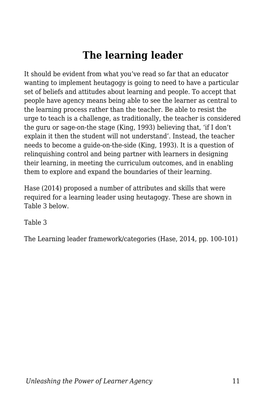# **The learning leader**

It should be evident from what you've read so far that an educator wanting to implement heutagogy is going to need to have a particular set of beliefs and attitudes about learning and people. To accept that people have agency means being able to see the learner as central to the learning process rather than the teacher. Be able to resist the urge to teach is a challenge, as traditionally, the teacher is considered the guru or sage-on-the stage (King, 1993) believing that, 'if I don't explain it then the student will not understand'. Instead, the teacher needs to become a guide-on-the-side (King, 1993). It is a question of relinquishing control and being partner with learners in designing their learning, in meeting the curriculum outcomes, and in enabling them to explore and expand the boundaries of their learning.

Hase (2014) proposed a number of attributes and skills that were required for a learning leader using heutagogy. These are shown in Table 3 below.

Table 3

The Learning leader framework/categories (Hase, 2014, pp. 100-101)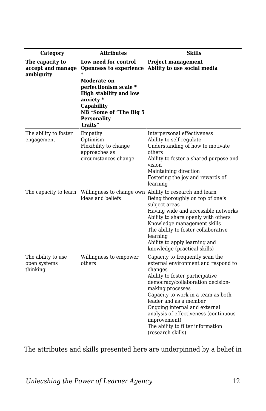| Category                                          | <b>Attributes</b>                                                                                                                                           | Skills                                                                                                                                                                                                                                                                                                                                                                                            |
|---------------------------------------------------|-------------------------------------------------------------------------------------------------------------------------------------------------------------|---------------------------------------------------------------------------------------------------------------------------------------------------------------------------------------------------------------------------------------------------------------------------------------------------------------------------------------------------------------------------------------------------|
| The capacity to<br>accept and manage<br>ambiguity | Low need for control<br>$\ast$                                                                                                                              | <b>Project management</b><br>Openness to experience Ability to use social media                                                                                                                                                                                                                                                                                                                   |
|                                                   | Moderate on<br>perfectionism scale *<br><b>High stability and low</b><br>anxiety *<br>Capability<br>NB *Some of "The Big 5<br><b>Personality</b><br>Traits" |                                                                                                                                                                                                                                                                                                                                                                                                   |
| The ability to foster<br>engagement               | Empathy<br>Optimism<br>Flexibility to change<br>approaches as<br>circumstances change                                                                       | Interpersonal effectiveness<br>Ability to self-regulate<br>Understanding of how to motivate<br>others<br>Ability to foster a shared purpose and<br>vision<br>Maintaining direction<br>Fostering the joy and rewards of<br>learning                                                                                                                                                                |
| The capacity to learn                             | ideas and beliefs                                                                                                                                           | Willingness to change own Ability to research and learn<br>Being thoroughly on top of one's<br>subject areas<br>Having wide and accessible networks<br>Ability to share openly with others<br>Knowledge management skills<br>The ability to foster collaborative<br>learning<br>Ability to apply learning and<br>knowledge (practical skills)                                                     |
| The ability to use<br>open systems<br>thinking    | Willingness to empower<br>others                                                                                                                            | Capacity to frequently scan the<br>external environment and respond to<br>changes<br>Ability to foster participative<br>democracy/collaboration decision-<br>making processes<br>Capacity to work in a team as both<br>leader and as a member<br>Ongoing internal and external<br>analysis of effectiveness (continuous<br>improvement)<br>The ability to filter information<br>(research skills) |

The attributes and skills presented here are underpinned by a belief in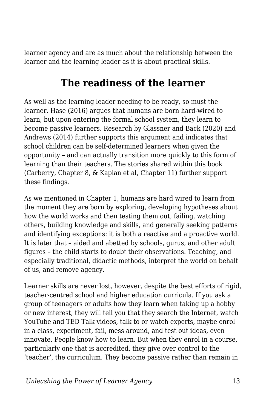learner agency and are as much about the relationship between the learner and the learning leader as it is about practical skills.

### **The readiness of the learner**

As well as the learning leader needing to be ready, so must the learner. Hase (2016) argues that humans are born hard-wired to learn, but upon entering the formal school system, they learn to become passive learners. Research by Glassner and Back (2020) and Andrews (2014) further supports this argument and indicates that school children can be self-determined learners when given the opportunity – and can actually transition more quickly to this form of learning than their teachers. The stories shared within this book (Carberry, Chapter 8, & Kaplan et al, Chapter 11) further support these findings.

As we mentioned in Chapter 1, humans are hard wired to learn from the moment they are born by exploring, developing hypotheses about how the world works and then testing them out, failing, watching others, building knowledge and skills, and generally seeking patterns and identifying exceptions: it is both a reactive and a proactive world. It is later that – aided and abetted by schools, gurus, and other adult figures – the child starts to doubt their observations. Teaching, and especially traditional, didactic methods, interpret the world on behalf of us, and remove agency.

Learner skills are never lost, however, despite the best efforts of rigid, teacher-centred school and higher education curricula. If you ask a group of teenagers or adults how they learn when taking up a hobby or new interest, they will tell you that they search the Internet, watch YouTube and TED Talk videos, talk to or watch experts, maybe enrol in a class, experiment, fail, mess around, and test out ideas, even innovate. People know how to learn. But when they enrol in a course, particularly one that is accredited, they give over control to the 'teacher', the curriculum. They become passive rather than remain in

*Unleashing the Power of Learner Agency* 13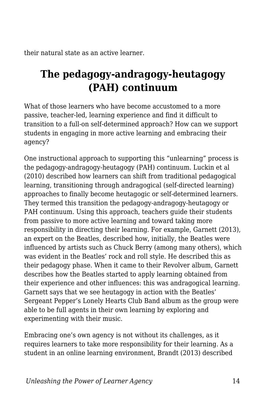their natural state as an active learner.

### **The pedagogy-andragogy-heutagogy (PAH) continuum**

What of those learners who have become accustomed to a more passive, teacher-led, learning experience and find it difficult to transition to a full-on self-determined approach? How can we support students in engaging in more active learning and embracing their agency?

One instructional approach to supporting this "unlearning" process is the pedagogy-andragogy-heutagogy (PAH) continuum. Luckin et al (2010) described how learners can shift from traditional pedagogical learning, transitioning through andragogical (self-directed learning) approaches to finally become heutagogic or self-determined learners. They termed this transition the pedagogy-andragogy-heutagogy or PAH continuum. Using this approach, teachers guide their students from passive to more active learning and toward taking more responsibility in directing their learning. For example, Garnett (2013), an expert on the Beatles, described how, initially, the Beatles were influenced by artists such as Chuck Berry (among many others), which was evident in the Beatles' rock and roll style. He described this as their pedagogy phase. When it came to their Revolver album, Garnett describes how the Beatles started to apply learning obtained from their experience and other influences: this was andragogical learning. Garnett says that we see heutagogy in action with the Beatles' Sergeant Pepper's Lonely Hearts Club Band album as the group were able to be full agents in their own learning by exploring and experimenting with their music.

Embracing one's own agency is not without its challenges, as it requires learners to take more responsibility for their learning. As a student in an online learning environment, Brandt (2013) described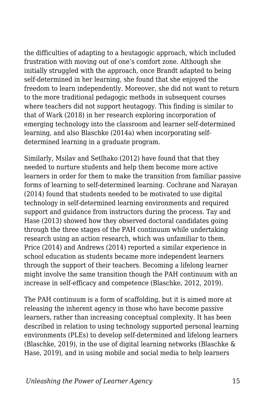the difficulties of adapting to a heutagogic approach, which included frustration with moving out of one's comfort zone. Although she initially struggled with the approach, once Brandt adapted to being self-determined in her learning, she found that she enjoyed the freedom to learn independently. Moreover, she did not want to return to the more traditional pedagogic methods in subsequent courses where teachers did not support heutagogy. This finding is similar to that of Wark (2018) in her research exploring incorporation of emerging technology into the classroom and learner self-determined learning, and also Blaschke (2014a) when incorporating selfdetermined learning in a graduate program.

Similarly, Msilav and Setlhako (2012) have found that that they needed to nurture students and help them become more active learners in order for them to make the transition from familiar passive forms of learning to self-determined learning. Cochrane and Narayan (2014) found that students needed to be motivated to use digital technology in self-determined learning environments and required support and guidance from instructors during the process. Tay and Hase (2013) showed how they observed doctoral candidates going through the three stages of the PAH continuum while undertaking research using an action research, which was unfamiliar to them. Price (2014) and Andrews (2014) reported a similar experience in school education as students became more independent learners through the support of their teachers. Becoming a lifelong learner might involve the same transition though the PAH continuum with an increase in self-efficacy and competence (Blaschke, 2012, 2019).

The PAH continuum is a form of scaffolding, but it is aimed more at releasing the inherent agency in those who have become passive learners, rather than increasing conceptual complexity. It has been described in relation to using technology supported personal learning environments (PLEs) to develop self-determined and lifelong learners (Blaschke, 2019), in the use of digital learning networks (Blaschke & Hase, 2019), and in using mobile and social media to help learners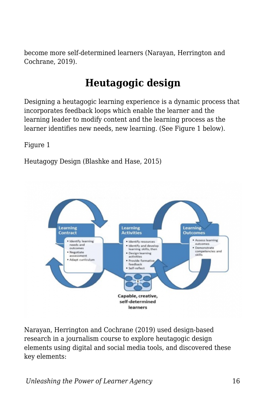become more self-determined learners (Narayan, Herrington and Cochrane, 2019).

# **Heutagogic design**

Designing a heutagogic learning experience is a dynamic process that incorporates feedback loops which enable the learner and the learning leader to modify content and the learning process as the learner identifies new needs, new learning. (See Figure 1 below).

Figure 1

Heutagogy Design (Blashke and Hase, 2015)



Narayan, Herrington and Cochrane (2019) used design-based research in a journalism course to explore heutagogic design elements using digital and social media tools, and discovered these key elements: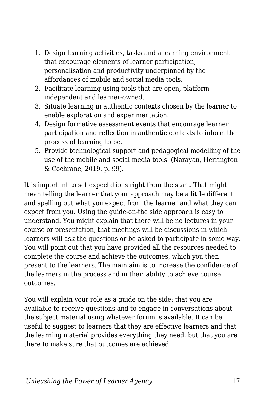- 1. Design learning activities, tasks and a learning environment that encourage elements of learner participation, personalisation and productivity underpinned by the affordances of mobile and social media tools.
- 2. Facilitate learning using tools that are open, platform independent and learner-owned.
- 3. Situate learning in authentic contexts chosen by the learner to enable exploration and experimentation.
- 4. Design formative assessment events that encourage learner participation and reflection in authentic contexts to inform the process of learning to be.
- 5. Provide technological support and pedagogical modelling of the use of the mobile and social media tools. (Narayan, Herrington & Cochrane, 2019, p. 99).

It is important to set expectations right from the start. That might mean telling the learner that your approach may be a little different and spelling out what you expect from the learner and what they can expect from you. Using the guide-on-the side approach is easy to understand. You might explain that there will be no lectures in your course or presentation, that meetings will be discussions in which learners will ask the questions or be asked to participate in some way. You will point out that you have provided all the resources needed to complete the course and achieve the outcomes, which you then present to the learners. The main aim is to increase the confidence of the learners in the process and in their ability to achieve course outcomes.

You will explain your role as a guide on the side: that you are available to receive questions and to engage in conversations about the subject material using whatever forum is available. It can be useful to suggest to learners that they are effective learners and that the learning material provides everything they need, but that you are there to make sure that outcomes are achieved.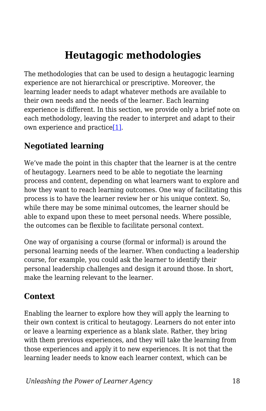# **Heutagogic methodologies**

The methodologies that can be used to design a heutagogic learning experience are not hierarchical or prescriptive. Moreover, the learning leader needs to adapt whatever methods are available to their own needs and the needs of the learner. Each learning experience is different. In this section, we provide only a brief note on each methodology, leaving the reader to interpret and adapt to their own experience and practice[\[1\].](#page-35-0)

#### <span id="page-17-0"></span>**Negotiated learning**

We've made the point in this chapter that the learner is at the centre of heutagogy. Learners need to be able to negotiate the learning process and content, depending on what learners want to explore and how they want to reach learning outcomes. One way of facilitating this process is to have the learner review her or his unique context. So, while there may be some minimal outcomes, the learner should be able to expand upon these to meet personal needs. Where possible, the outcomes can be flexible to facilitate personal context.

One way of organising a course (formal or informal) is around the personal learning needs of the learner. When conducting a leadership course, for example, you could ask the learner to identify their personal leadership challenges and design it around those. In short, make the learning relevant to the learner.

#### **Context**

Enabling the learner to explore how they will apply the learning to their own context is critical to heutagogy. Learners do not enter into or leave a learning experience as a blank slate. Rather, they bring with them previous experiences, and they will take the learning from those experiences and apply it to new experiences. It is not that the learning leader needs to know each learner context, which can be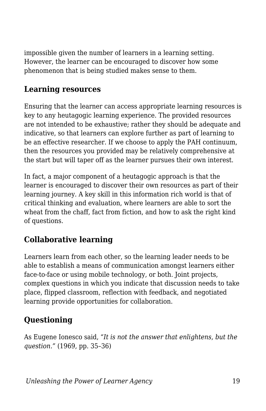impossible given the number of learners in a learning setting. However, the learner can be encouraged to discover how some phenomenon that is being studied makes sense to them.

#### **Learning resources**

Ensuring that the learner can access appropriate learning resources is key to any heutagogic learning experience. The provided resources are not intended to be exhaustive; rather they should be adequate and indicative, so that learners can explore further as part of learning to be an effective researcher. If we choose to apply the PAH continuum, then the resources you provided may be relatively comprehensive at the start but will taper off as the learner pursues their own interest.

In fact, a major component of a heutagogic approach is that the learner is encouraged to discover their own resources as part of their learning journey. A key skill in this information rich world is that of critical thinking and evaluation, where learners are able to sort the wheat from the chaff, fact from fiction, and how to ask the right kind of questions.

### **Collaborative learning**

Learners learn from each other, so the learning leader needs to be able to establish a means of communication amongst learners either face-to-face or using mobile technology, or both. Joint projects, complex questions in which you indicate that discussion needs to take place, flipped classroom, reflection with feedback, and negotiated learning provide opportunities for collaboration.

#### **Questioning**

As Eugene Ionesco said, *"It is not the answer that enlightens, but the question."* (1969, pp. 35–36)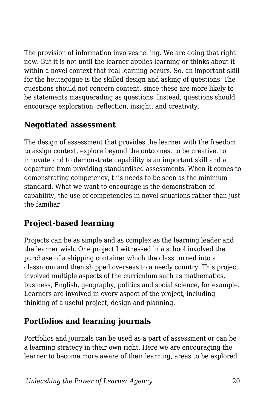The provision of information involves telling. We are doing that right now. But it is not until the learner applies learning or thinks about it within a novel context that real learning occurs. So, an important skill for the heutagogue is the skilled design and asking of questions. The questions should not concern content, since these are more likely to be statements masquerading as questions. Instead, questions should encourage exploration, reflection, insight, and creativity.

#### **Negotiated assessment**

The design of assessment that provides the learner with the freedom to assign context, explore beyond the outcomes, to be creative, to innovate and to demonstrate capability is an important skill and a departure from providing standardised assessments. When it comes to demonstrating competency, this needs to be seen as the minimum standard. What we want to encourage is the demonstration of capability, the use of competencies in novel situations rather than just the familiar

#### **Project-based learning**

Projects can be as simple and as complex as the learning leader and the learner wish. One project I witnessed in a school involved the purchase of a shipping container which the class turned into a classroom and then shipped overseas to a needy country. This project involved multiple aspects of the curriculum such as mathematics, business, English, geography, politics and social science, for example. Learners are involved in every aspect of the project, including thinking of a useful project, design and planning.

#### **Portfolios and learning journals**

Portfolios and journals can be used as a part of assessment or can be a learning strategy in their own right. Here we are encouraging the learner to become more aware of their learning, areas to be explored,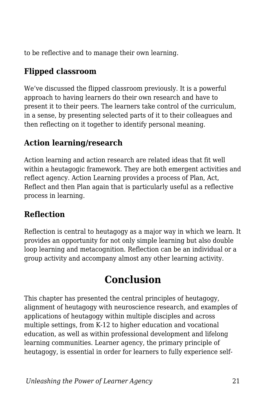to be reflective and to manage their own learning.

#### **Flipped classroom**

We've discussed the flipped classroom previously. It is a powerful approach to having learners do their own research and have to present it to their peers. The learners take control of the curriculum, in a sense, by presenting selected parts of it to their colleagues and then reflecting on it together to identify personal meaning.

#### **Action learning/research**

Action learning and action research are related ideas that fit well within a heutagogic framework. They are both emergent activities and reflect agency. Action Learning provides a process of Plan, Act, Reflect and then Plan again that is particularly useful as a reflective process in learning.

#### **Reflection**

Reflection is central to heutagogy as a major way in which we learn. It provides an opportunity for not only simple learning but also double loop learning and metacognition. Reflection can be an individual or a group activity and accompany almost any other learning activity.

# **Conclusion**

This chapter has presented the central principles of heutagogy, alignment of heutagogy with neuroscience research, and examples of applications of heutagogy within multiple disciples and across multiple settings, from K-12 to higher education and vocational education, as well as within professional development and lifelong learning communities. Learner agency, the primary principle of heutagogy, is essential in order for learners to fully experience self-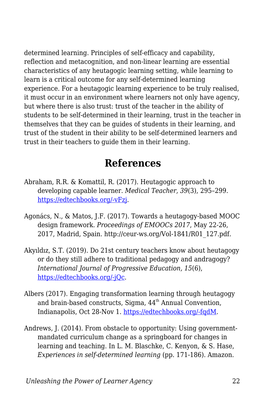determined learning. Principles of self-efficacy and capability, reflection and metacognition, and non-linear learning are essential characteristics of any heutagogic learning setting, while learning to learn is a critical outcome for any self-determined learning experience. For a heutagogic learning experience to be truly realised, it must occur in an environment where learners not only have agency, but where there is also trust: trust of the teacher in the ability of students to be self-determined in their learning, trust in the teacher in themselves that they can be guides of students in their learning, and trust of the student in their ability to be self-determined learners and trust in their teachers to guide them in their learning.

### **References**

- Abraham, R.R. & Komattil, R. (2017). Heutagogic approach to developing capable learner. *Medical Teacher, 39*(3), 295–299. [https://edtechbooks.org/-vFzj](http://www.tandfonline.com/doi/abs/10.1080/0142159X.2017.1270433).
- Agonács, N., & Matos, J.F. (2017). Towards a heutagogy-based MOOC design framework. *Proceedings of EMOOCs 2017*, May 22-26, 2017, Madrid, Spain. http://ceur-ws.org/Vol-1841/R01\_127.pdf.
- Akyıldız, S.T. (2019). Do 21st century teachers know about heutagogy or do they still adhere to traditional pedagogy and andragogy? *International Journal of Progressive Education, 15*(6), [https://edtechbooks.org/-jQc.](https://files.eric.ed.gov/fulltext/EJ1237231.pdf)
- Albers (2017). Engaging transformation learning through heutagogy and brain-based constructs, Sigma,  $44<sup>th</sup>$  Annual Convention, Indianapolis, Oct 28-Nov 1. [https://edtechbooks.org/-fqdM](https://stti.confex.com/stti/bc17/webprogram/Paper83537.html).
- Andrews, J. (2014). From obstacle to opportunity: Using governmentmandated curriculum change as a springboard for changes in learning and teaching. In L. M. Blaschke, C. Kenyon, & S. Hase, *Experiences in self-determined learning* (pp. 171-186). Amazon.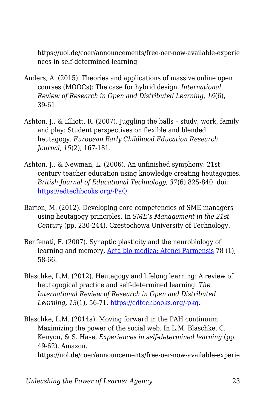https://uol.de/coer/announcements/free-oer-now-available-experie nces-in-self-determined-learning

- Anders, A. (2015). Theories and applications of massive online open courses (MOOCs): The case for hybrid design. *International Review of Research in Open and Distributed Learning, 16*(6), 39-61.
- Ashton, J., & Elliott, R. (2007). Juggling the balls study, work, family and play: Student perspectives on flexible and blended heutagogy. *European Early Childhood Education Research Journal, 15*(2), 167-181.
- Ashton, J., & Newman, L. (2006). An unfinished symphony: 21st century teacher education using knowledge creating heutagogies. *British Journal of Educational Technology, 37*(6) 825-840. doi: [https://edtechbooks.org/-PaQ](https://doi.org/10.1111/j.1467-8535.2006.00662.x).
- Barton, M. (2012). Developing core competencies of SME managers using heutagogy principles. In *SME's Management in the 21st Century* (pp. 230-244). Czestochowa University of Technology.
- Benfenati, F. (2007). Synaptic plasticity and the neurobiology of learning and memory, [Acta bio-medica: Atenei Parmensis](https://www.researchgate.net/journal/Acta-bio-medica-Atenei-Parmensis-0392-4203) 78 (1), 58-66.
- Blaschke, L.M. (2012). Heutagogy and lifelong learning: A review of heutagogical practice and self-determined learning. *The International Review of Research in Open and Distributed Learning, 13*(1), 56-71. [https://edtechbooks.org/-pkq.](http://www.irrodl.org/index.php/irrodl/article/view/1076/2087)
- Blaschke, L.M. (2014a). Moving forward in the PAH continuum: Maximizing the power of the social web. In L.M. Blaschke, C. Kenyon, & S. Hase, *Experiences in self-determined learning* (pp. 49-62). Amazon. https://uol.de/coer/announcements/free-oer-now-available-experie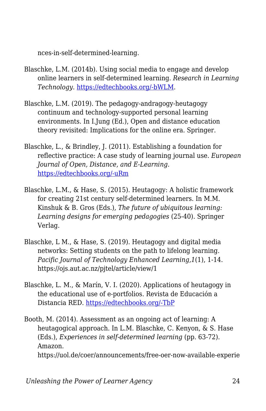nces-in-self-determined-learning.

- Blaschke, L.M. (2014b). Using social media to engage and develop online learners in self-determined learning. *Research in Learning Technology*. [https://edtechbooks.org/-bWLM.](http://www.researchinlearningtechnology.net/index.php/rlt/article/view/21635/html)
- Blaschke, L.M. (2019). The pedagogy-andragogy-heutagogy continuum and technology-supported personal learning environments. In I.Jung (Ed.), Open and distance education theory revisited: Implications for the online era. Springer.
- Blaschke, L., & Brindley, J. (2011). Establishing a foundation for reflective practice: A case study of learning journal use. *European Journal of Open, Distance, and E-Learning.* [https://edtechbooks.org/-uRm](https://old.eurodl.org/materials/special/2011/Blaschke_Brindley.pdf)
- Blaschke, L.M., & Hase, S. (2015). Heutagogy: A holistic framework for creating 21st century self-determined learners. In M.M. Kinshuk & B. Gros (Eds.), *The future of ubiquitous learning: Learning designs for emerging pedagogies* (25-40). Springer Verlag.
- Blaschke, L M., & Hase, S. (2019). Heutagogy and digital media networks: Setting students on the path to lifelong learning. *Pacific Journal of Technology Enhanced Learning,1*(1), 1-14. https://ojs.aut.ac.nz/pjtel/article/view/1
- Blaschke, L. M., & Marín, V. I. (2020). Applications of heutagogy in the educational use of e-portfolios. Revista de Educación a Distancia RED. [https://edtechbooks.org/-TbP](https://revistas.um.es/red/article/view/407831/290621)

Booth, M. (2014). Assessment as an ongoing act of learning: A heutagogical approach. In L.M. Blaschke, C. Kenyon, & S. Hase (Eds.), *Experiences in self-determined learning* (pp. 63-72). Amazon. https://uol.de/coer/announcements/free-oer-now-available-experie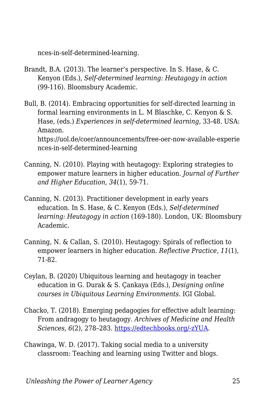nces-in-self-determined-learning.

- Brandt, B.A. (2013). The learner's perspective. In S. Hase, & C. Kenyon (Eds.), *Self-determined learning: Heutagogy in action* (99-116). Bloomsbury Academic.
- Bull, B. (2014). Embracing opportunities for self-directed learning in formal learning environments in L. M Blaschke, C. Kenyon & S. Hase, (eds.) *Experiences in self-determined learning*, 33-48. USA: Amazon. https://uol.de/coer/announcements/free-oer-now-available-experie nces-in-self-determined-learning
- Canning, N. (2010). Playing with heutagogy: Exploring strategies to empower mature learners in higher education. *Journal of Further and Higher Education, 34*(1), 59-71.
- Canning, N. (2013). Practitioner development in early years education. In S. Hase, & C. Kenyon (Eds.), *Self-determined learning: Heutagogy in action* (169-180). London, UK: Bloomsbury Academic.
- Canning, N. & Callan, S. (2010). Heutagogy: Spirals of reflection to empower learners in higher education. *Reflective Practice, 11*(1), 71-82.
- Ceylan, B. (2020) Ubiquitous learning and heutagogy in teacher education in G. Durak & S. Çankaya (Eds.), *Designing online courses in Ubiquitous Learning Environments*. IGI Global.
- Chacko, T. (2018). Emerging pedagogies for effective adult learning: From andragogy to heutagogy. *Archives of Medicine and Health Sciences*, *6*(2), 278–283. [https://edtechbooks.org/-zYUA.](https://doi.org/10.4103/amhs.amhs_141_18)
- Chawinga, W. D. (2017). Taking social media to a university classroom: Teaching and learning using Twitter and blogs.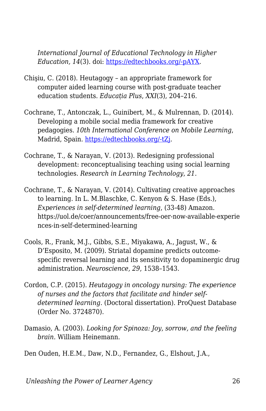*International Journal of Educational Technology in Higher Education, 14*(3). doi: [https://edtechbooks.org/-pAYX.](https://doi.org/10.1186/s41239-017-0041-6)

- Chişiu, C. (2018). Heutagogy an appropriate framework for computer aided learning course with post-graduate teacher education students. *Educația Plus*, *XXI*(3), 204–216.
- Cochrane, T., Antonczak, L., Guinibert, M., & Mulrennan, D. (2014). Developing a mobile social media framework for creative pedagogies. *10th International Conference on Mobile Learning*, Madrid, Spain. [https://edtechbooks.org/-tZj.](https://files.eric.ed.gov/fulltext/ED557241.pdf)
- Cochrane, T., & Narayan, V. (2013). Redesigning professional development: reconceptualising teaching using social learning technologies. *Research in Learning Technology*, *21*.
- Cochrane, T., & Narayan, V. (2014). Cultivating creative approaches to learning. In L. M.Blaschke, C. Kenyon & S. Hase (Eds.), *Experiences in self-determined learning*, (33-48) Amazon. https://uol.de/coer/announcements/free-oer-now-available-experie nces-in-self-determined-learning
- Cools, R., Frank, M.J., Gibbs, S.E., Miyakawa, A., Jagust, W., & D'Esposito, M. (2009). Striatal dopamine predicts outcomespecific reversal learning and its sensitivity to dopaminergic drug administration. *Neuroscience, 29*, 1538–1543.
- Cordon, C.P. (2015). *Heutagogy in oncology nursing: The experience of nurses and the factors that facilitate and hinder selfdetermined learning*. (Doctoral dissertation). ProQuest Database (Order No. 3724870).
- Damasio, A. (2003). *Looking for Spinoza: Joy, sorrow, and the feeling brain*. William Heinemann.

Den Ouden, H.E.M., Daw, N.D., Fernandez, G., Elshout, J.A.,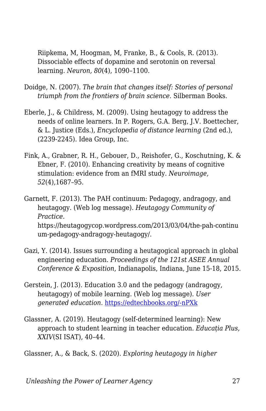Riipkema, M, Hoogman, M, Franke, B., & Cools, R. (2013). Dissociable effects of dopamine and serotonin on reversal learning. *Neuron, 80*(4), 1090–1100.

- Doidge, N. (2007). *The brain that changes itself: Stories of personal triumph from the frontiers of brain science*. Silberman Books.
- Eberle, J., & Childress, M. (2009). Using heutagogy to address the needs of online learners. In P. Rogers, G.A. Berg, J.V. Boettecher, & L. Justice (Eds.), *Encyclopedia of distance learning* (2nd ed.), (2239-2245). Idea Group, Inc.
- Fink, A., Grabner, R. H., Gebouer, D., Reishofer, G., Koschutning, K. & Ebner, F. (2010). Enhancing creativity by means of cognitive stimulation: evidence from an fMRI study. *Neuroimage, 52*(4),1687–95.
- Garnett, F. (2013). The PAH continuum: Pedagogy, andragogy, and heutagogy. (Web log message). *Heutagogy Community of Practice*. https://heutagogycop.wordpress.com/2013/03/04/the-pah-continu um-pedagogy-andragogy-heutagogy/.
- Gazi, Y. (2014). Issues surrounding a heutagogical approach in global engineering education. *Proceedings of the 121st ASEE Annual Conference & Exposition*, Indianapolis, Indiana, June 15-18, 2015.
- Gerstein, J. (2013). Education 3.0 and the pedagogy (andragogy, heutagogy) of mobile learning. (Web log message). *User generated education*. [https://edtechbooks.org/-nPXk](http://usergeneratededucation.wordpress.com/2013/05/13)
- Glassner, A. (2019). Heutagogy (self-determined learning): New approach to student learning in teacher education. *Educația Plus*, *XXIV*(SI ISAT), 40–44.

Glassner, A., & Back, S. (2020). *Exploring heutagogy in higher*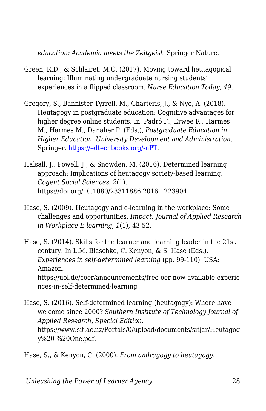*education: Academia meets the Zeitgeist.* Springer Nature.

- Green, R.D., & Schlairet, M.C. (2017). Moving toward heutagogical learning: Illuminating undergraduate nursing students' experiences in a flipped classroom. *Nurse Education Today, 49*.
- Gregory, S., Bannister-Tyrrell, M., Charteris, J., & Nye, A. (2018). Heutagogy in postgraduate education: Cognitive advantages for higher degree online students. In: Padró F., Erwee R., Harmes M., Harmes M., Danaher P. (Eds,), *Postgraduate Education in Higher Education. University Development and Administration*. Springer. [https://edtechbooks.org/-nPT](https://doi.org/10.1007/978-981-10-5249-1_32).
- Halsall, J., Powell, J., & Snowden, M. (2016). Determined learning approach: Implications of heutagogy society-based learning. *Cogent Social Sciences, 2*(1). https://doi.org/10.1080/23311886.2016.1223904
- Hase, S. (2009). Heutagogy and e-learning in the workplace: Some challenges and opportunities. *Impact: Journal of Applied Research in Workplace E-learning, 1*(1), 43-52.

Hase, S. (2014). Skills for the learner and learning leader in the 21st century. In L.M. Blaschke, C. Kenyon, & S. Hase (Eds.), *Experiences in self-determined learning* (pp. 99-110). USA: Amazon. https://uol.de/coer/announcements/free-oer-now-available-experie nces-in-self-determined-learning

Hase, S. (2016). Self-determined learning (heutagogy): Where have we come since 2000? *Southern Institute of Technology Journal of Applied Research, Special Edition*. https://www.sit.ac.nz/Portals/0/upload/documents/sitjar/Heutagog y%20-%20One.pdf.

Hase, S., & Kenyon, C. (2000). *From andragogy to heutagogy*.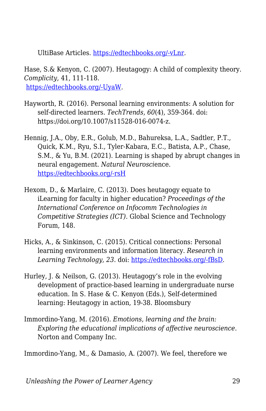UltiBase Articles. [https://edtechbooks.org/-vLnr](https://epubs.scu.edu.au/gcm_pubs/99/).

Hase, S.& Kenyon, C. (2007). Heutagogy: A child of complexity theory. *Complicity,* 41, 111-118. [https://edtechbooks.org/-UyaW.](http://www.complexityandeducation.ualberta.ca/COMPLICITY4/Complicity4_TOC.htm)

- Hayworth, R. (2016). Personal learning environments: A solution for self-directed learners. *TechTrends, 60*(4), 359-364. doi: https://doi.org/10.1007/s11528-016-0074-z.
- Hennig, J.A., Oby, E.R., Golub, M.D., Bahureksa, L.A., Sadtler, P.T., Quick, K.M., Ryu, S.I., Tyler-Kabara, E.C., Batista, A.P., Chase, S.M., & Yu, B.M. (2021). Learning is shaped by abrupt changes in neural engagement. *Natural Neurosci*ence. [https://edtechbooks.org/-rsH](https://doi.org/10.1038/s41593-021-00822-8)
- Hexom, D., & Marlaire, C. (2013). Does heutagogy equate to iLearning for faculty in higher education? *Proceedings of the International Conference on Infocomm Technologies in Competitive Strategies (ICT)*. Global Science and Technology Forum, 148.
- Hicks, A., & Sinkinson, C. (2015). Critical connections: Personal learning environments and information literacy. *Research in Learning Technology, 23*. doi: [https://edtechbooks.org/-fBsD.](http://dx.doi.org/10.3402/rlt.v23.21193)
- Hurley, J. & Neilson, G. (2013). Heutagogy's role in the evolving development of practice-based learning in undergraduate nurse education. In S. Hase & C. Kenyon (Eds.), Self-determined learning: Heutagogy in action, 19-38. Bloomsbury
- Immordino-Yang, M. (2016). *Emotions, learning and the brain: Exploring the educational implications of affective neuroscience*. Norton and Company Inc.

Immordino-Yang, M., & Damasio, A. (2007). We feel, therefore we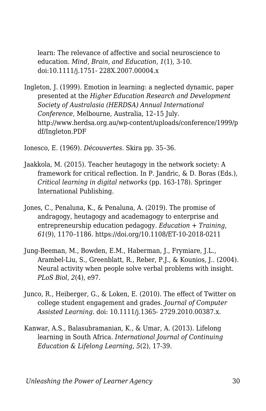learn: The relevance of affective and social neuroscience to education. *Mind, Brain, and Education, 1*(1), 3-10. doi:10.1111/j.1751- 228X.2007.00004.x

Ingleton, J. (1999). Emotion in learning: a neglected dynamic, paper presented at the *Higher Education Research and Development Society of Australasia (HERDSA) Annual International Conference*, Melbourne, Australia, 12–15 July. http://www.herdsa.org.au/wp-content/uploads/conference/1999/p df/Ingleton.PDF

Ionesco, E. (1969). *Découvertes.* Skira pp. 35–36.

- Jaakkola, M. (2015). Teacher heutagogy in the network society: A framework for critical reflection. In P. Jandric, & D. Boras (Eds.), *Critical learning in digital networks* (pp. 163-178). Springer International Publishing.
- Jones, C., Penaluna, K., & Penaluna, A. (2019). The promise of andragogy, heutagogy and academagogy to enterprise and entrepreneurship education pedagogy. *Education + Training, 61*(9), 1170–1186. https://doi.org/10.1108/ET-10-2018-0211
- Jung-Beeman, M., Bowden, E.M., Haberman, J., Frymiare, J.L., Arambel-Liu, S., Greenblatt, R., Reber, P.J., & Kounios, J.. (2004). Neural activity when people solve verbal problems with insight. *PLoS Biol, 2*(4), e97.
- Junco, R., Heiberger, G., & Loken, E. (2010). The effect of Twitter on college student engagement and grades. *Journal of Computer Assisted Learning*. doi: 10.1111/j.1365- 2729.2010.00387.x.
- Kanwar, A.S., Balasubramanian, K., & Umar, A. (2013). Lifelong learning in South Africa. *International Journal of Continuing Education & Lifelong Learning, 5*(2), 17-39.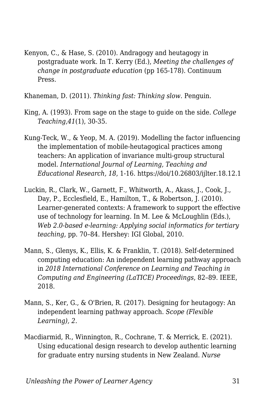Kenyon, C., & Hase, S. (2010). Andragogy and heutagogy in postgraduate work. In T. Kerry (Ed.), *Meeting the challenges of change in postgraduate education* (pp 165-178). Continuum Press.

Khaneman, D. (2011). *Thinking fast: Thinking slow*. Penguin.

- King, A. (1993). From sage on the stage to guide on the side. *College Teaching,41*(1), 30-35.
- Kung-Teck, W., & Yeop, M. A. (2019). Modelling the factor influencing the implementation of mobile-heutagogical practices among teachers: An application of invariance multi-group structural model. *International Journal of Learning, Teaching and Educational Research, 18*, 1-16. https://doi/10.26803/ijlter.18.12.1
- Luckin, R., Clark, W., Garnett, F., Whitworth, A., Akass, J., Cook, J., Day, P., Ecclesfield, E., Hamilton, T., & Robertson, J. (2010). Learner-generated contexts: A framework to support the effective use of technology for learning. In M. Lee & McLoughlin (Eds.), *Web 2.0-based e-learning: Applying social informatics for tertiary teaching,* pp. 70–84. Hershey: IGI Global, 2010.
- Mann, S., Glenys, K., Ellis, K. & Franklin, T. (2018). Self-determined computing education: An independent learning pathway approach in *2018 International Conference on Learning and Teaching in Computing and Engineering (LaTICE) Proceedings*, 82–89. IEEE, 2018.
- Mann, S., Ker, G., & O'Brien, R. (2017). Designing for heutagogy: An independent learning pathway approach. *Scope (Flexible Learning), 2*.
- Macdiarmid, R., Winnington, R., Cochrane, T. & Merrick, E. (2021). Using educational design research to develop authentic learning for graduate entry nursing students in New Zealand. *Nurse*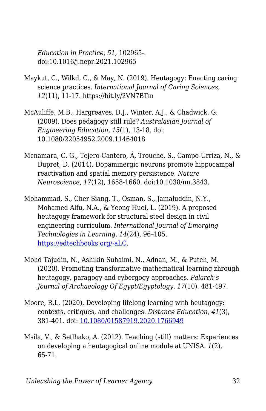*Education in Practice, 51,* 102965-. doi:10.1016/j.nepr.2021.102965

- Maykut, C., Wilkd, C., & May, N. (2019). Heutagogy: Enacting caring science practices. *International Journal of Caring Sciences, 12*(11), 11-17. https://bit.ly/2VN7BTm
- McAuliffe, M.B., Hargreaves, D.J., Winter, A.J., & Chadwick, G. (2009). Does pedagogy still rule? *Australasian Journal of Engineering Education, 15*(1), 13-18. doi: 10.1080/22054952.2009.11464018
- Mcnamara, C. G., Tejero-Cantero, Á, Trouche, S., Campo-Urriza, N., & Dupret, D. (2014). Dopaminergic neurons promote hippocampal reactivation and spatial memory persistence. *Nature Neuroscience, 17*(12), 1658-1660. doi:10.1038/nn.3843.
- Mohammad, S., Cher Siang, T., Osman, S., Jamaluddin, N.Y., Mohamed Alfu, N.A., & Yeong Huei, L. (2019). A proposed heutagogy framework for structural steel design in civil engineering curriculum. *International Journal of Emerging Technologies in Learning*, *14*(24), 96–105. [https://edtechbooks.org/-aLC.](https://doi.org/10.3991/ijet.v14i24.12091)
- Mohd Tajudin, N., Ashikin Suhaimi, N., Adnan, M., & Puteh, M. (2020). Promoting transformative mathematical learning zhrough heutagogy, paragogy and cybergogy approaches. *Palarch's Journal of Archaeology Of Egypt/Egyptology, 17*(10), 481-497.
- Moore, R.L. (2020). Developing lifelong learning with heutagogy: contexts, critiques, and challenges. *Distance Education, 41*(3), 381-401. doi: [10.1080/01587919.2020.1766949](https://doi.org/10.1080/01587919.2020.1766949)
- Msila, V., & Setlhako, A. (2012). Teaching (still) matters: Experiences on developing a heutagogical online module at UNISA. *1*(2), 65-71.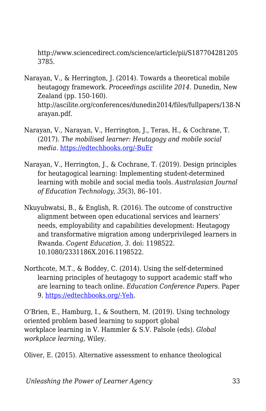http://www.sciencedirect.com/science/article/pii/S187704281205 3785.

- Narayan, V., & Herrington, J. (2014). Towards a theoretical mobile heutagogy framework. *Proceedings asciilite 2014*. Dunedin, New Zealand (pp. 150-160). http://ascilite.org/conferences/dunedin2014/files/fullpapers/138-N arayan.pdf.
- Narayan, V., Narayan, V., Herrington, J., Teras, H., & Cochrane, T. (2017). *The mobilised learner: Heutagogy and mobile social media*. [https://edtechbooks.org/-BuEr](http://researchrepository.murdoch.edu.au/id/eprint/36991/)
- Narayan, V., Herrington, J., & Cochrane, T. (2019). Design principles for heutagogical learning: Implementing student-determined learning with mobile and social media tools. *Australasian Journal of Education Technology, 35*(3), 86–101.
- Nkuyubwatsi, B., & English, R. (2016). The outcome of constructive alignment between open educational services and learners' needs, employability and capabilities development: Heutagogy and transformative migration among underprivileged learners in Rwanda. *Cogent Education, 3*. doi: 1198522. 10.1080/2331186X.2016.1198522.
- Northcote, M.T., & Boddey, C. (2014). Using the self-determined learning principles of heutagogy to support academic staff who are learning to teach online. *Education Conference Papers*. Paper 9. [https://edtechbooks.org/-Yeh.](https://research.avondale.edu.au/edu_conferences/9/)

O'Brien, E., Hamburg, I., & Southern, M. (2019). Using technology oriented problem based learning to support global workplace learning in V. Hammler & S.V. Palsole (eds). *Global workplace learning*, Wiley.

Oliver, E. (2015). Alternative assessment to enhance theological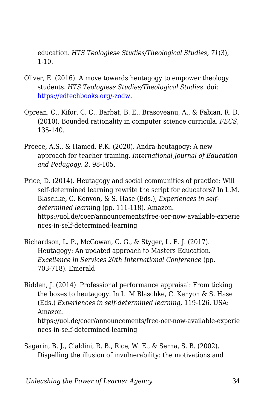education. *HTS Teologiese Studies/Theological Studies, 71*(3),  $1 - 10$ .

- Oliver, E. (2016). A move towards heutagogy to empower theology students. *HTS Teologiese Studies/Theological Studies*. doi: [https://edtechbooks.org/-zodw](http://dx.doi.org/10.4102/hts.v72i1.3394).
- Oprean, C., Kifor, C. C., Barbat, B. E., Brasoveanu, A., & Fabian, R. D. (2010). Bounded rationality in computer science curricula. *FECS*, 135-140.
- Preece, A.S., & Hamed, P.K. (2020). Andra-heutagogy: A new approach for teacher training. *International Journal of Education and Pedagogy, 2*, 98-105.
- Price, D. (2014). Heutagogy and social communities of practice: Will self-determined learning rewrite the script for educators? In L.M. Blaschke, C. Kenyon, & S. Hase (Eds.), *Experiences in selfdetermined learni*ng (pp. 111-118). Amazon. https://uol.de/coer/announcements/free-oer-now-available-experie nces-in-self-determined-learning
- Richardson, L. P., McGowan, C. G., & Styger, L. E. J. (2017). Heutagogy: An updated approach to Masters Education. *Excellence in Services 20th International Conference* (pp. 703-718). Emerald
- Ridden, J. (2014). Professional performance appraisal: From ticking the boxes to heutagogy. In L. M Blaschke, C. Kenyon & S. Hase (Eds.) *Experiences in self-determined learning,* 119-126. USA: Amazon. https://uol.de/coer/announcements/free-oer-now-available-experie nces-in-self-determined-learning
- Sagarin, B. J., Cialdini, R. B., Rice, W. E., & Serna, S. B. (2002). Dispelling the illusion of invulnerability: the motivations and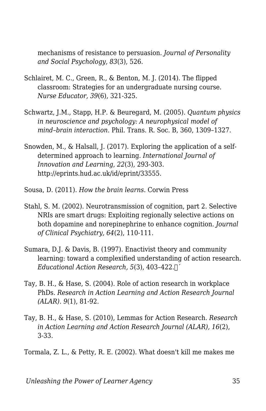mechanisms of resistance to persuasion. *Journal of Personality and Social Psychology, 83*(3), 526.

- Schlairet, M. C., Green, R., & Benton, M. J. (2014). The flipped classroom: Strategies for an undergraduate nursing course. *Nurse Educator, 39*(6), 321-325.
- Schwartz, J.M., Stapp, H.P. & Beuregard, M. (2005). *Quantum physics in neuroscience and psychology: A neurophysical model of mind–brain interaction*. Phil. Trans. R. Soc. B, 360, 1309–1327.
- Snowden, M., & Halsall, J. (2017). Exploring the application of a selfdetermined approach to learning. *International Journal of Innovation and Learning*, *22*(3), 293-303. http://eprints.hud.ac.uk/id/eprint/33555.
- Sousa, D. (2011). *How the brain learns*. Corwin Press
- Stahl, S. M. (2002). Neurotransmission of cognition, part 2. Selective NRIs are smart drugs: Exploiting regionally selective actions on both dopamine and norepinephrine to enhance cognition. *Journal of Clinical Psychiatry, 64*(2), 110-111.
- Sumara, D.J. & Davis, B. (1997). Enactivist theory and community learning: toward a complexified understanding of action research. *Educational Action Research, 5*(3), 403–422.
´
- Tay, B. H., & Hase, S. (2004). Role of action research in workplace PhDs. *Research in Action Learning and Action Research Journal (ALAR). 9*(1), 81-92.
- Tay, B. H., & Hase, S. (2010), Lemmas for Action Research. *Research in Action Learning and Action Research Journal (ALAR), 16*(2), 3-33.

Tormala, Z. L., & Petty, R. E. (2002). What doesn't kill me makes me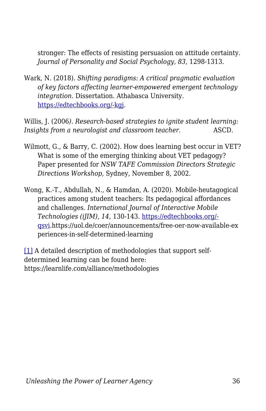stronger: The effects of resisting persuasion on attitude certainty. *Journal of Personality and Social Psychology, 83*, 1298-1313.

Wark, N. (2018). *Shifting paradigms: A critical pragmatic evaluation of key factors affecting learner-empowered emergent technology integration.* Dissertation. Athabasca University. [https://edtechbooks.org/-kgj](https://dt.athabascau.ca/jspui/bitstream/10791/274/4/NorineWarkFinal.pdf).

Willis, J. (2006*). Research-based strategies to ignite student learning: Insights from a neurologist and classroom teacher.* ASCD.

- Wilmott, G., & Barry, C. (2002). How does learning best occur in VET? What is some of the emerging thinking about VET pedagogy? Paper presented for *NSW TAFE Commission Directors Strategic Directions Workshop,* Sydney, November 8, 2002.
- Wong, K.-T., Abdullah, N., & Hamdan, A. (2020). Mobile-heutagogical practices among student teachers: Its pedagogical affordances and challenges. *International Journal of Interactive Mobile Technologies (iJIM), 14*, 130-143. [https://edtechbooks.org/](https://doi/10.3991/ijim.v14i02.11819) [qsvi](https://doi/10.3991/ijim.v14i02.11819).https://uol.de/coer/announcements/free-oer-now-available-ex periences-in-self-determined-learning

<span id="page-35-0"></span>[\[1\]](#page-17-0) A detailed description of methodologies that support selfdetermined learning can be found here: https://learnlife.com/alliance/methodologies